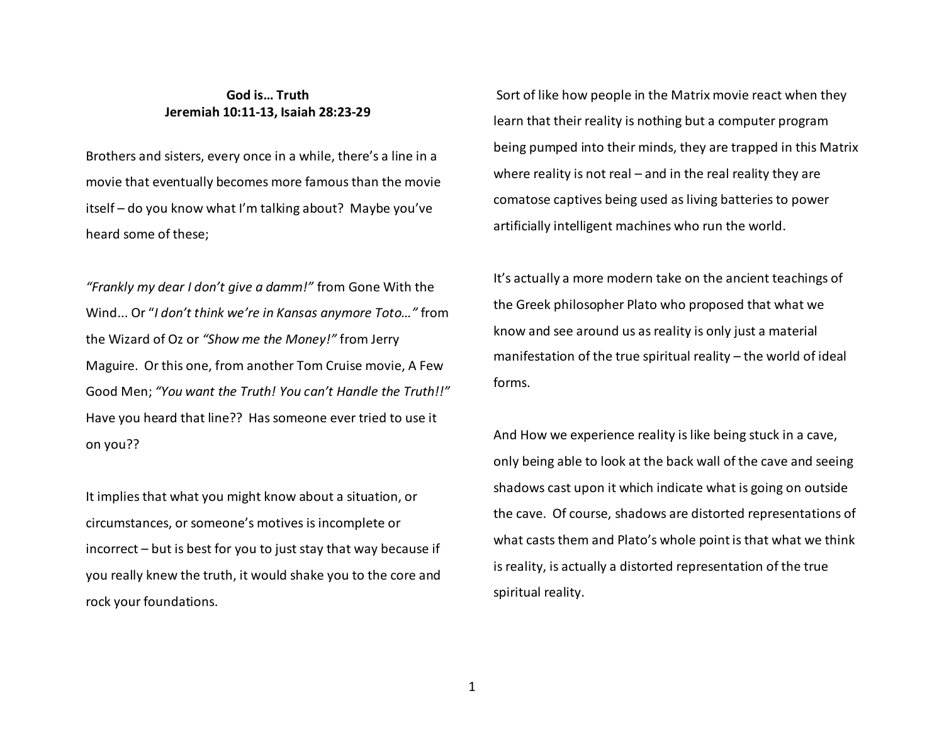## **God is… Truth Jeremiah 10:11-13, Isaiah 28:23-29**

Brothers and sisters, every once in a while, there's a line in a movie that eventually becomes more famous than the movie itself – do you know what I'm talking about? Maybe you've heard some of these;

*"Frankly my dear I don't give a damm!"* from Gone With the Wind... Or "*I don't think we're in Kansas anymore Toto…"* from the Wizard of Oz or *"Show me the Money!"* from Jerry Maguire. Or this one, from another Tom Cruise movie, A Few Good Men; *"You want the Truth! You can't Handle the Truth!!"* Have you heard that line?? Has someone ever tried to use it on you??

It implies that what you might know about a situation, or circumstances, or someone's motives is incomplete or incorrect – but is best for you to just stay that way because if you really knew the truth, it would shake you to the core and rock your foundations.

 Sort of like how people in the Matrix movie react when they learn that their reality is nothing but a computer program being pumped into their minds, they are trapped in this Matrix where reality is not real – and in the real reality they are comatose captives being used as living batteries to power artificially intelligent machines who run the world.

It's actually a more modern take on the ancient teachings of the Greek philosopher Plato who proposed that what we know and see around us as reality is only just a material manifestation of the true spiritual reality – the world of ideal forms.

And How we experience reality is like being stuck in a cave, only being able to look at the back wall of the cave and seeing shadows cast upon it which indicate what is going on outside the cave. Of course, shadows are distorted representations of what casts them and Plato's whole point is that what we think is reality, is actually a distorted representation of the true spiritual reality.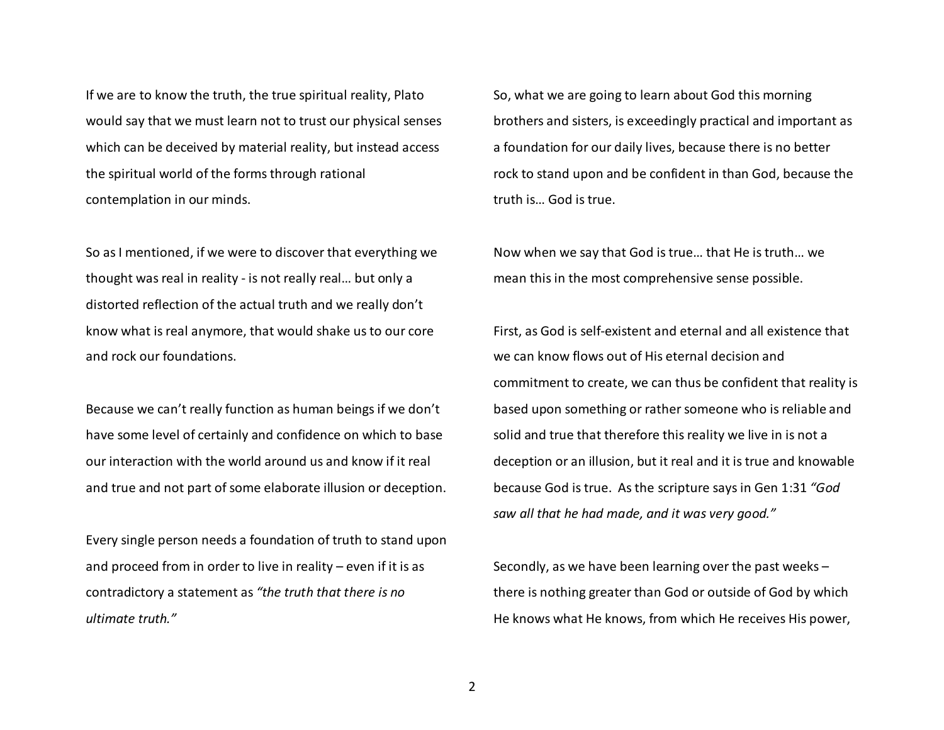If we are to know the truth, the true spiritual reality, Plato would say that we must learn not to trust our physical senses which can be deceived by material reality, but instead access the spiritual world of the forms through rational contemplation in our minds.

So as I mentioned, if we were to discover that everything we thought was real in reality - is not really real… but only a distorted reflection of the actual truth and we really don't know what is real anymore, that would shake us to our core and rock our foundations.

Because we can't really function as human beings if we don't have some level of certainly and confidence on which to base our interaction with the world around us and know if it real and true and not part of some elaborate illusion or deception.

Every single person needs a foundation of truth to stand upon and proceed from in order to live in reality – even if it is as contradictory a statement as *"the truth that there is no ultimate truth."* 

So, what we are going to learn about God this morning brothers and sisters, is exceedingly practical and important as a foundation for our daily lives, because there is no better rock to stand upon and be confident in than God, because the truth is… God is true.

Now when we say that God is true… that He is truth… we mean this in the most comprehensive sense possible.

First, as God is self-existent and eternal and all existence that we can know flows out of His eternal decision and commitment to create, we can thus be confident that reality is based upon something or rather someone who is reliable and solid and true that therefore this reality we live in is not a deception or an illusion, but it real and it is true and knowable because God is true. As the scripture says in Gen 1:31 *"God saw all that he had made, and it was very good."*

Secondly, as we have been learning over the past weeks – there is nothing greater than God or outside of God by which He knows what He knows, from which He receives His power,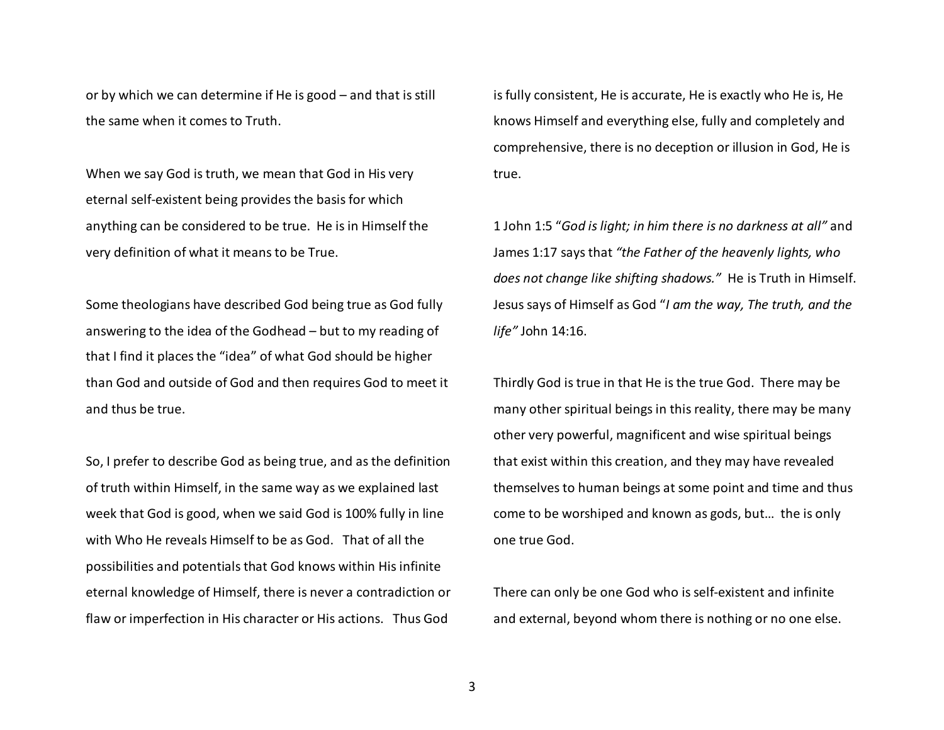or by which we can determine if He is good – and that is still the same when it comes to Truth.

When we say God is truth, we mean that God in His very eternal self-existent being provides the basis for which anything can be considered to be true. He is in Himself the very definition of what it means to be True.

Some theologians have described God being true as God fully answering to the idea of the Godhead – but to my reading of that I find it places the "idea" of what God should be higher than God and outside of God and then requires God to meet it and thus be true.

So, I prefer to describe God as being true, and as the definition of truth within Himself, in the same way as we explained last week that God is good, when we said God is 100% fully in line with Who He reveals Himself to be as God. That of all the possibilities and potentials that God knows within His infinite eternal knowledge of Himself, there is never a contradiction or flaw or imperfection in His character or His actions. Thus God

is fully consistent, He is accurate, He is exactly who He is, He knows Himself and everything else, fully and completely and comprehensive, there is no deception or illusion in God, He is true.

1 John 1:5 "*God is light; in him there is no darkness at all"* and James 1:17 says that *"the Father of the heavenly lights, who does not change like shifting shadows."* He is Truth in Himself. Jesus says of Himself as God "*I am the way, The truth, and the life"* John 14:16.

Thirdly God is true in that He is the true God. There may be many other spiritual beings in this reality, there may be many other very powerful, magnificent and wise spiritual beings that exist within this creation, and they may have revealed themselves to human beings at some point and time and thus come to be worshiped and known as gods, but… the is only one true God.

There can only be one God who is self-existent and infinite and external, beyond whom there is nothing or no one else.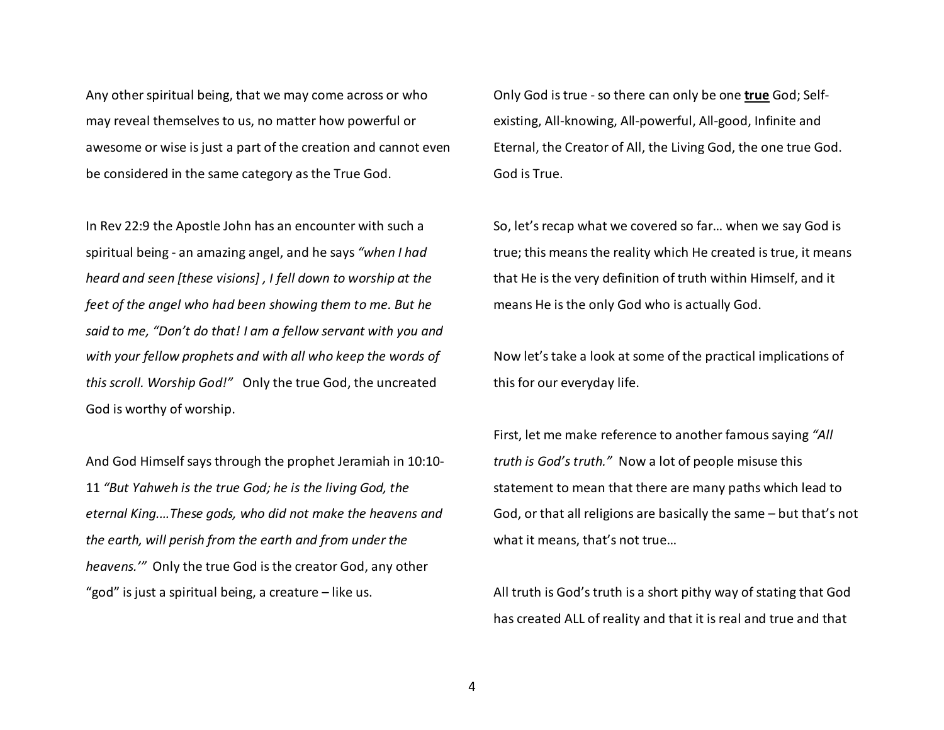Any other spiritual being, that we may come across or who may reveal themselves to us, no matter how powerful or awesome or wise is just a part of the creation and cannot even be considered in the same category as the True God.

In Rev 22:9 the Apostle John has an encounter with such a spiritual being - an amazing angel, and he says *"when I had heard and seen [these visions] , I fell down to worship at the feet of the angel who had been showing them to me. But he said to me, "Don't do that! I am a fellow servant with you and with your fellow prophets and with all who keep the words of this scroll. Worship God!"* Only the true God, the uncreated God is worthy of worship.

And God Himself says through the prophet Jeramiah in 10:10-11 *"But Yahweh is the true God; he is the living God, the eternal King.…These gods, who did not make the heavens and the earth, will perish from the earth and from under the heavens.'"* Only the true God is the creator God, any other "god" is just a spiritual being, a creature – like us.

Only God is true - so there can only be one **true** God; Selfexisting, All-knowing, All-powerful, All-good, Infinite and Eternal, the Creator of All, the Living God, the one true God. God is True.

So, let's recap what we covered so far… when we say God is true; this means the reality which He created is true, it means that He is the very definition of truth within Himself, and it means He is the only God who is actually God.

Now let's take a look at some of the practical implications of this for our everyday life.

First, let me make reference to another famous saying *"All truth is God's truth."* Now a lot of people misuse this statement to mean that there are many paths which lead to God, or that all religions are basically the same – but that's not what it means, that's not true…

All truth is God's truth is a short pithy way of stating that God has created ALL of reality and that it is real and true and that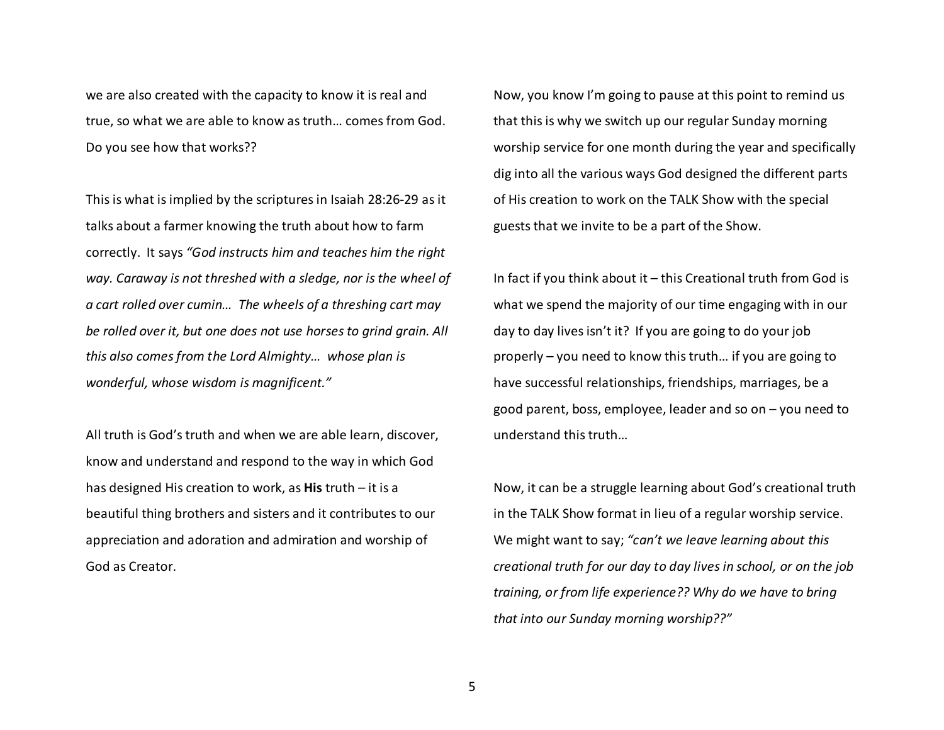we are also created with the capacity to know it is real and true, so what we are able to know as truth… comes from God. Do you see how that works??

This is what is implied by the scriptures in Isaiah 28:26-29 as it talks about a farmer knowing the truth about how to farm correctly. It says *"God instructs him and teaches him the right way. Caraway is not threshed with a sledge, nor is the wheel of a cart rolled over cumin… The wheels of a threshing cart may be rolled over it, but one does not use horses to grind grain. All this also comes from the Lord Almighty… whose plan is wonderful, whose wisdom is magnificent."*

All truth is God's truth and when we are able learn, discover, know and understand and respond to the way in which God has designed His creation to work, as **His** truth – it is a beautiful thing brothers and sisters and it contributes to our appreciation and adoration and admiration and worship of God as Creator.

Now, you know I'm going to pause at this point to remind us that this is why we switch up our regular Sunday morning worship service for one month during the year and specifically dig into all the various ways God designed the different parts of His creation to work on the TALK Show with the special guests that we invite to be a part of the Show.

In fact if you think about it – this Creational truth from God is what we spend the majority of our time engaging with in our day to day lives isn't it? If you are going to do your job properly – you need to know this truth… if you are going to have successful relationships, friendships, marriages, be a good parent, boss, employee, leader and so on – you need to understand this truth…

Now, it can be a struggle learning about God's creational truth in the TALK Show format in lieu of a regular worship service. We might want to say; *"can't we leave learning about this creational truth for our day to day lives in school, or on the job training, or from life experience?? Why do we have to bring that into our Sunday morning worship??"*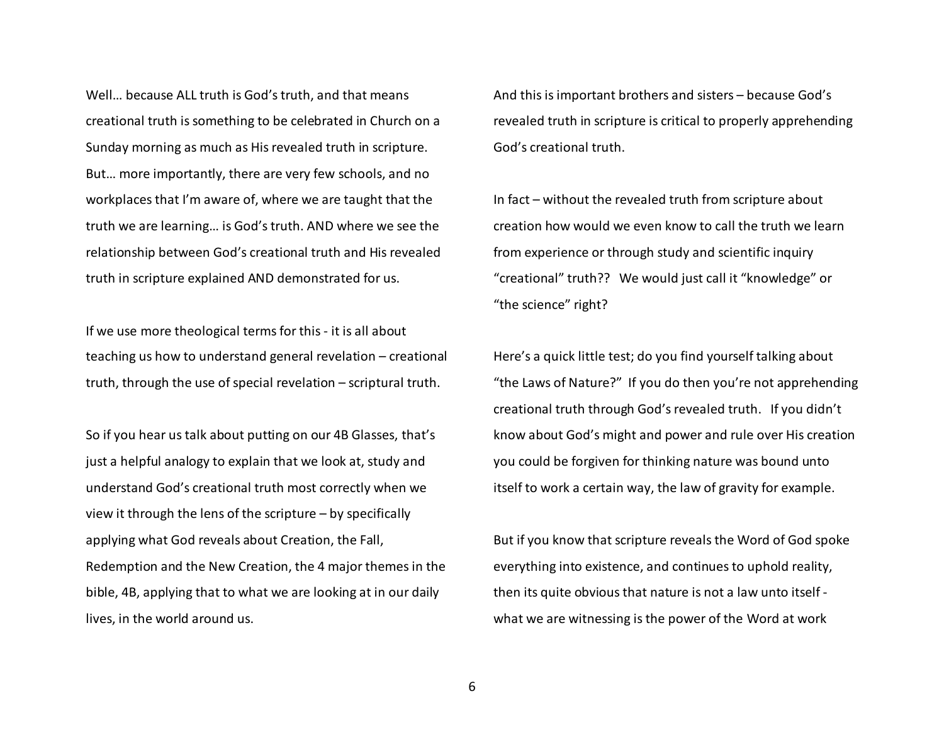Well… because ALL truth is God's truth, and that means creational truth is something to be celebrated in Church on a Sunday morning as much as His revealed truth in scripture. But… more importantly, there are very few schools, and no workplaces that I'm aware of, where we are taught that the truth we are learning… is God's truth. AND where we see the relationship between God's creational truth and His revealed truth in scripture explained AND demonstrated for us.

If we use more theological terms for this - it is all about teaching us how to understand general revelation – creational truth, through the use of special revelation – scriptural truth.

So if you hear us talk about putting on our 4B Glasses, that's just a helpful analogy to explain that we look at, study and understand God's creational truth most correctly when we view it through the lens of the scripture – by specifically applying what God reveals about Creation, the Fall, Redemption and the New Creation, the 4 major themes in the bible, 4B, applying that to what we are looking at in our daily lives, in the world around us.

And this is important brothers and sisters – because God's revealed truth in scripture is critical to properly apprehending God's creational truth.

In fact – without the revealed truth from scripture about creation how would we even know to call the truth we learn from experience or through study and scientific inquiry "creational" truth?? We would just call it "knowledge" or "the science" right?

Here's a quick little test; do you find yourself talking about "the Laws of Nature?" If you do then you're not apprehending creational truth through God's revealed truth. If you didn't know about God's might and power and rule over His creation you could be forgiven for thinking nature was bound unto itself to work a certain way, the law of gravity for example.

But if you know that scripture reveals the Word of God spoke everything into existence, and continues to uphold reality, then its quite obvious that nature is not a law unto itself what we are witnessing is the power of the Word at work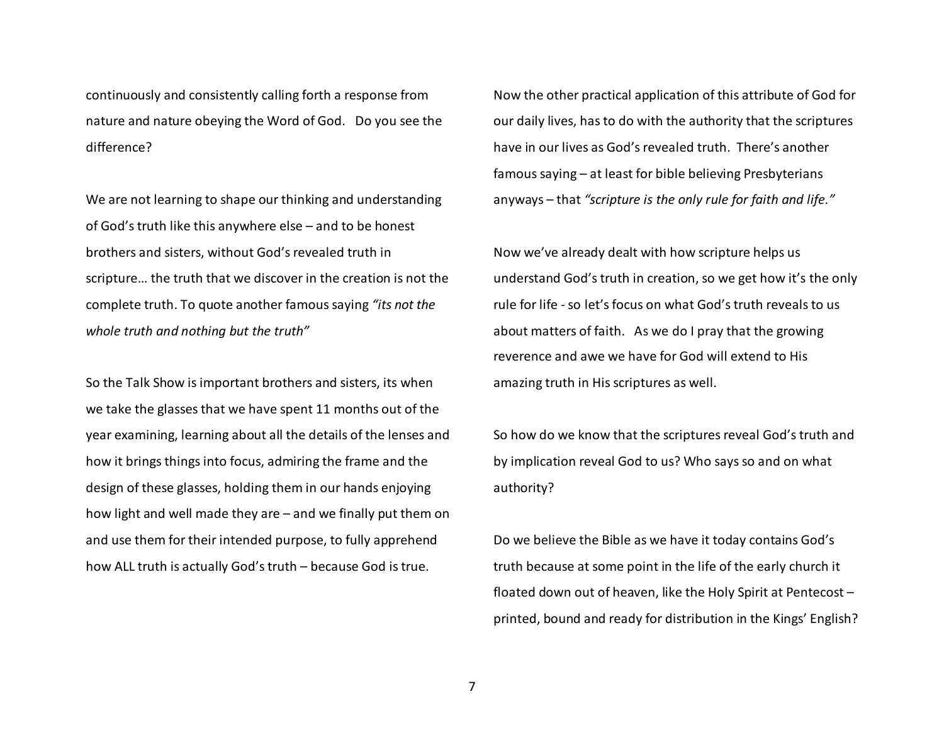continuously and consistently calling forth a response from nature and nature obeying the Word of God. Do you see the difference?

We are not learning to shape our thinking and understanding of God's truth like this anywhere else – and to be honest brothers and sisters, without God's revealed truth inscripture… the truth that we discover in the creation is not the complete truth. To quote another famous saying *"its not the whole truth and nothing but the truth"* 

So the Talk Show is important brothers and sisters, its when we take the glasses that we have spent 11 months out of the year examining, learning about all the details of the lenses and how it brings things into focus, admiring the frame and the design of these glasses, holding them in our hands enjoying how light and well made they are – and we finally put them on and use them for their intended purpose, to fully apprehend how ALL truth is actually God's truth – because God is true.

Now the other practical application of this attribute of God for our daily lives, has to do with the authority that the scriptures have in our lives as God's revealed truth. There's another famous saying – at least for bible believing Presbyterians anyways – that *"scripture is the only rule for faith and life."* 

Now we've already dealt with how scripture helps us understand God's truth in creation, so we get how it's the only rule for life - so let's focus on what God's truth reveals to us about matters of faith. As we do I pray that the growing reverence and awe we have for God will extend to His amazing truth in His scriptures as well.

So how do we know that the scriptures reveal God's truth and by implication reveal God to us? Who says so and on what authority?

Do we believe the Bible as we have it today contains God's truth because at some point in the life of the early church it floated down out of heaven, like the Holy Spirit at Pentecost – printed, bound and ready for distribution in the Kings' English?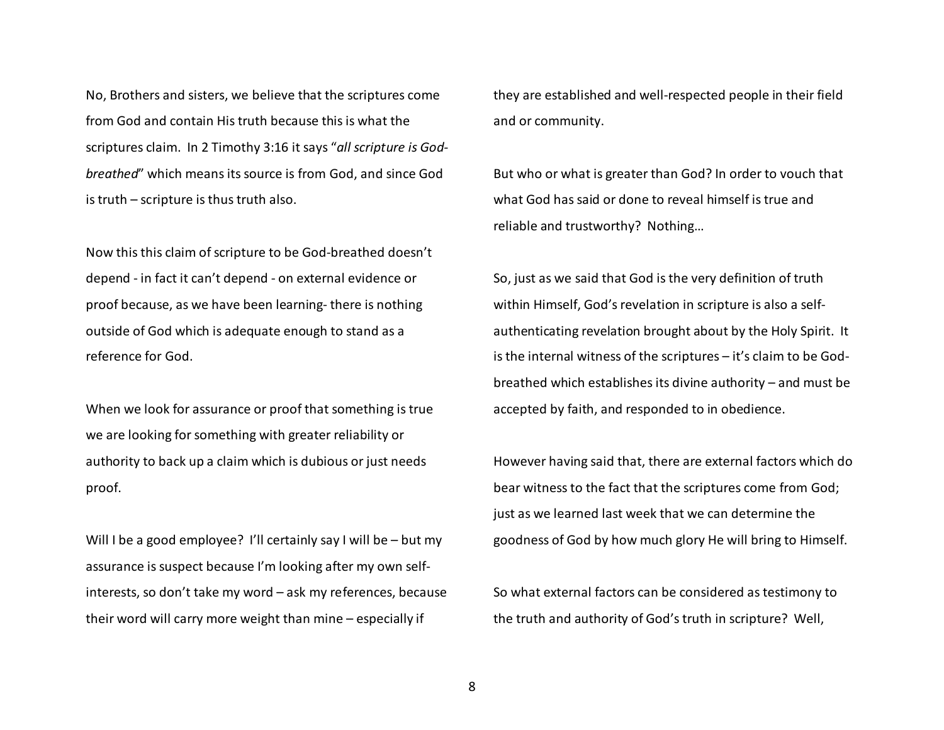No, Brothers and sisters, we believe that the scriptures come from God and contain His truth because this is what the scriptures claim. In 2 Timothy 3:16 it says "*all scripture is Godbreathed*" which means its source is from God, and since God is truth – scripture is thus truth also.

Now this this claim of scripture to be God-breathed doesn't depend - in fact it can't depend - on external evidence or proof because, as we have been learning- there is nothing outside of God which is adequate enough to stand as a reference for God.

When we look for assurance or proof that something is true we are looking for something with greater reliability or authority to back up a claim which is dubious or just needs proof.

Will I be a good employee? I'll certainly say I will be – but my assurance is suspect because I'm looking after my own selfinterests, so don't take my word – ask my references, because their word will carry more weight than mine – especially if

they are established and well-respected people in their field and or community.

But who or what is greater than God? In order to vouch that what God has said or done to reveal himself is true and reliable and trustworthy? Nothing…

So, just as we said that God is the very definition of truth within Himself, God's revelation in scripture is also a selfauthenticating revelation brought about by the Holy Spirit. It is the internal witness of the scriptures – it's claim to be Godbreathed which establishes its divine authority – and must be accepted by faith, and responded to in obedience.

However having said that, there are external factors which do bear witness to the fact that the scriptures come from God; just as we learned last week that we can determine the goodness of God by how much glory He will bring to Himself.

So what external factors can be considered as testimony to the truth and authority of God's truth in scripture? Well,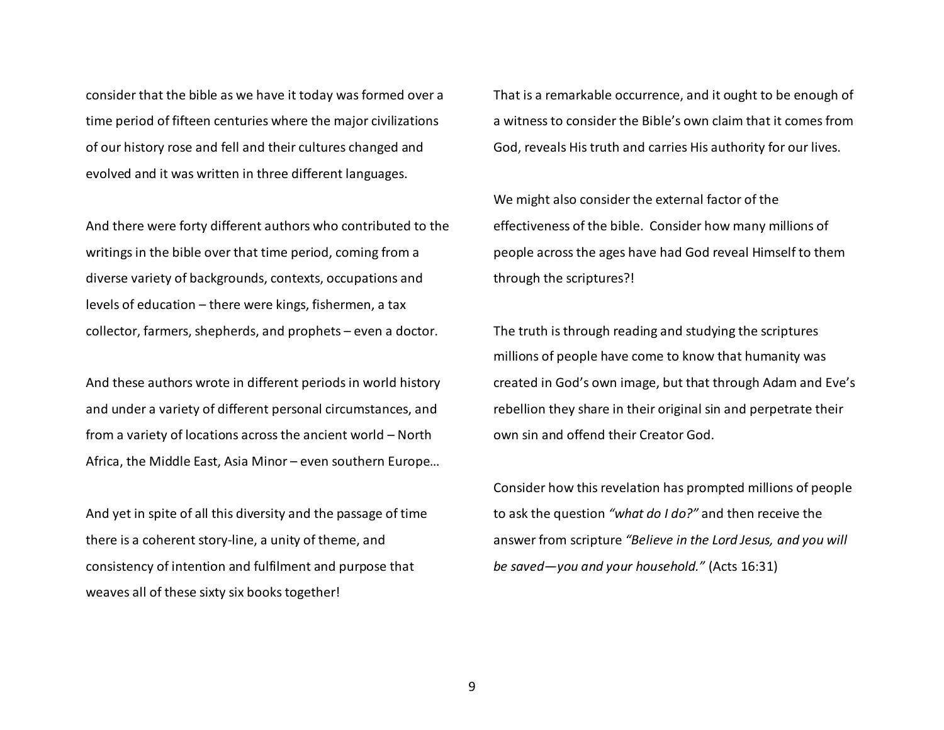consider that the bible as we have it today was formed over a time period of fifteen centuries where the major civilizations of our history rose and fell and their cultures changed and evolved and it was written in three different languages.

And there were forty different authors who contributed to the writings in the bible over that time period, coming from a diverse variety of backgrounds, contexts, occupations and levels of education – there were kings, fishermen, a tax collector, farmers, shepherds, and prophets – even a doctor.

And these authors wrote in different periods in world history and under a variety of different personal circumstances, and from a variety of locations across the ancient world – North Africa, the Middle East, Asia Minor – even southern Europe…

And yet in spite of all this diversity and the passage of time there is a coherent story-line, a unity of theme, andconsistency of intention and fulfilment and purpose that weaves all of these sixty six books together!

That is a remarkable occurrence, and it ought to be enough of a witness to consider the Bible's own claim that it comes from God, reveals His truth and carries His authority for our lives.

We might also consider the external factor of the effectiveness of the bible. Consider how many millions of people across the ages have had God reveal Himself to them through the scriptures?!

The truth is through reading and studying the scriptures millions of people have come to know that humanity was created in God's own image, but that through Adam and Eve's rebellion they share in their original sin and perpetrate their own sin and offend their Creator God.

Consider how this revelation has prompted millions of people to ask the question *"what do I do?"* and then receive the answer from scripture *"Believe in the Lord Jesus, and you will be saved—you and your household."* (Acts 16:31)